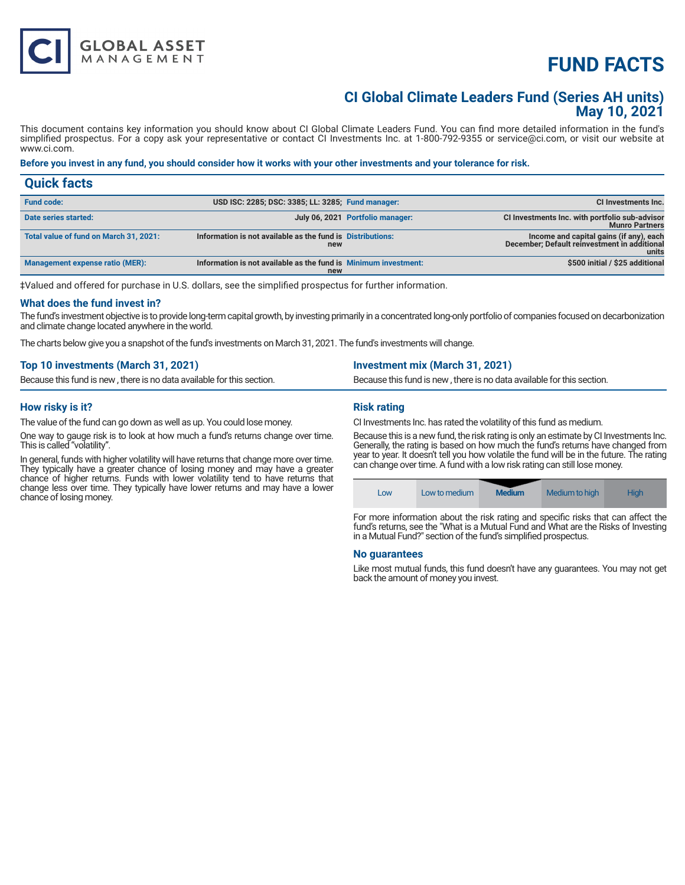# **FUND FACTS**

# **CI Global Climate Leaders Fund (Series AH units) May 10, 2021**

This document contains key information you should know about CI Global Climate Leaders Fund. You can find more detailed information in the fund's simplified prospectus. For a copy ask your representative or contact CI Investments Inc. at 1-800-792-9355 or service@ci.com, or visit our website at www.ci.com.

# **Before you invest in any fund, you should consider how it works with your other investments and your tolerance for risk.**

| <b>Quick facts</b>                     |                                                                        |                                  |                                                                                                  |
|----------------------------------------|------------------------------------------------------------------------|----------------------------------|--------------------------------------------------------------------------------------------------|
| <b>Fund code:</b>                      | USD ISC: 2285; DSC: 3385; LL: 3285; Fund manager:                      |                                  | CI Investments Inc.                                                                              |
| Date series started:                   |                                                                        | July 06, 2021 Portfolio manager: | CI Investments Inc. with portfolio sub-advisor<br><b>Munro Partners</b>                          |
| Total value of fund on March 31, 2021: | Information is not available as the fund is Distributions:<br>new      |                                  | Income and capital gains (if any), each<br>December; Default reinvestment in additional<br>units |
| <b>Management expense ratio (MER):</b> | Information is not available as the fund is Minimum investment:<br>new |                                  | \$500 initial / \$25 additional                                                                  |

‡Valued and offered for purchase in U.S. dollars, see the simplified prospectus for further information.

#### **What does the fund invest in?**

The fund's investment objective is to provide long-term capital growth, by investing primarily in a concentrated long-only portfolio of companies focused on decarbonization and climate change located anywhere in the world.

The charts below give you a snapshot of the fund's investments on March 31, 2021. The fund's investments will change.

| Top 10 investments (March 31, 2021)                                    | <b>Investment mix (March 31, 2021)</b>                                 |
|------------------------------------------------------------------------|------------------------------------------------------------------------|
| Because this fund is new, there is no data available for this section. | Because this fund is new, there is no data available for this section. |
|                                                                        |                                                                        |

### **How risky is it?**

The value of the fund can go down as well as up. You could lose money.

**GLOBAL ASSET**<br>MANAGEMENT

One way to gauge risk is to look at how much a fund's returns change over time. This is called "volatility".

In general, funds with higher volatility will have returns that change more over time. They typically have a greater chance of losing money and may have a greater chance of higher returns. Funds with lower volatility tend to have returns that change less over time. They typically have lower returns and may have a lower chance of losing money.

# **Risk rating**

CI Investments Inc. has rated the volatility of this fund as medium.

Because this is a new fund, the risk rating is only an estimate by CI Investments Inc. Generally, the rating is based on how much the fund's returns have changed from year to year. It doesn't tell you how volatile the fund will be in the future. The rating can change over time. A fund with a low risk rating can still lose money.



For more information about the risk rating and specific risks that can affect the fund's returns, see the "What is a Mutual Fund and What are the Risks of Investing in a Mutual Fund?" section of the fund's simplified prospectus.

#### **No guarantees**

Like most mutual funds, this fund doesn't have any guarantees. You may not get back the amount of money you invest.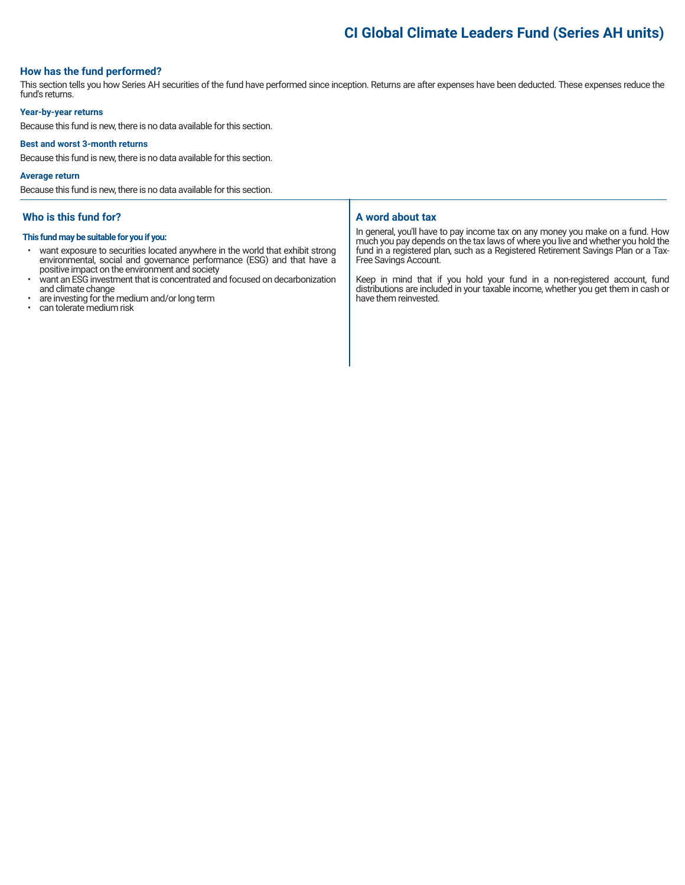# **CI Global Climate Leaders Fund (Series AH units)**

### **How has the fund performed?**

This section tells you how Series AH securities of the fund have performed since inception. Returns are after expenses have been deducted. These expenses reduce the fund's returns.

#### **Year-by-year returns**

Because this fund is new, there is no data available for this section.

#### **Best and worst 3-month returns**

Because this fund is new, there is no data available for this section.

#### **Average return**

Because this fund is new, there is no data available for this section.

### **Who is this fund for?**

#### **This fund may be suitable for you if you:**

- want exposure to securities located anywhere in the world that exhibit strong environmental, social and governance performance (ESG) and that have a positive impact on the environment and society
- want an ESG investment that is concentrated and focused on decarbonization and climate change
- are investing for the medium and/or long term
- can tolerate medium risk

### **A word about tax**

In general, you'll have to pay income tax on any money you make on a fund. How much you pay depends on the tax laws of where you live and whether you hold the fund in a registered plan, such as a Registered Retirement Savings Plan or a Tax-Free Savings Account.

Keep in mind that if you hold your fund in a non-registered account, fund distributions are included in your taxable income, whether you get them in cash or have them reinvested.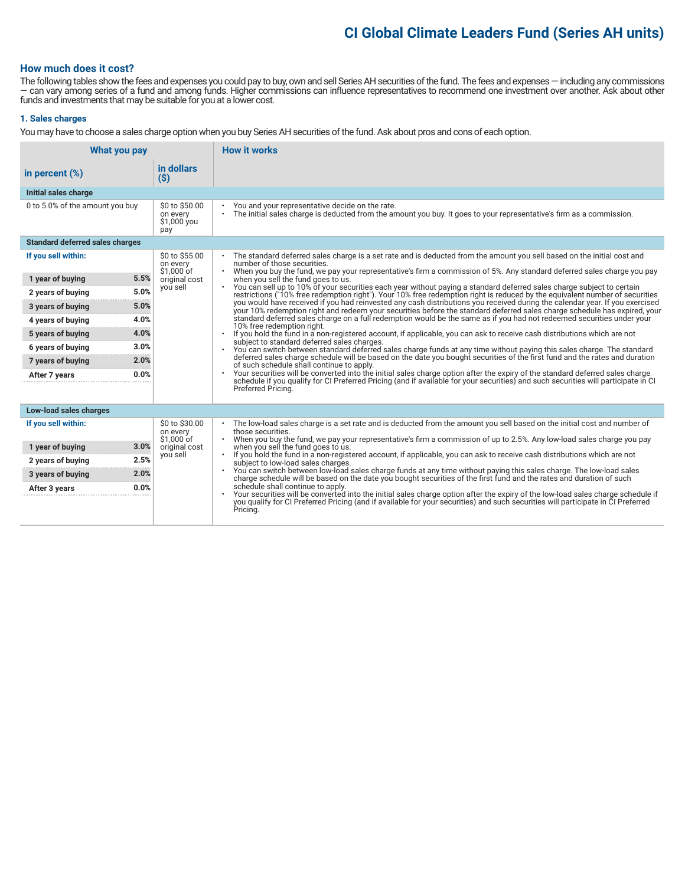# **CI Global Climate Leaders Fund (Series AH units)**

## **How much does it cost?**

The following tables show the fees and expenses you could pay to buy, own and sell Series AH securities of the fund. The fees and expenses — including any commissions — can vary among series of a fund and among funds. Higher commissions can influence representatives to recommend one investment over another. Ask about other funds and investments that may be suitable for you at a lower cost.

### **1. Sales charges**

You may have to choose a sales charge option when you buy Series AH securities of the fund. Ask about pros and cons of each option.

| What you pay                                                                                                                                                                           |                                                              |                                                                       | <b>How it works</b>                                                                                                                                                                                                                                                                                                                                                                                                                                                                                                                                                                                                                                                                                                                                                                                                                                                                                                                                                                                                                                                                                                                                                                                                                                                                                                                                                                                                                                                                                                                                                                                                                                                                                                                                                                                                             |  |
|----------------------------------------------------------------------------------------------------------------------------------------------------------------------------------------|--------------------------------------------------------------|-----------------------------------------------------------------------|---------------------------------------------------------------------------------------------------------------------------------------------------------------------------------------------------------------------------------------------------------------------------------------------------------------------------------------------------------------------------------------------------------------------------------------------------------------------------------------------------------------------------------------------------------------------------------------------------------------------------------------------------------------------------------------------------------------------------------------------------------------------------------------------------------------------------------------------------------------------------------------------------------------------------------------------------------------------------------------------------------------------------------------------------------------------------------------------------------------------------------------------------------------------------------------------------------------------------------------------------------------------------------------------------------------------------------------------------------------------------------------------------------------------------------------------------------------------------------------------------------------------------------------------------------------------------------------------------------------------------------------------------------------------------------------------------------------------------------------------------------------------------------------------------------------------------------|--|
| in percent $(\%)$                                                                                                                                                                      | $($ \$)                                                      | in dollars                                                            |                                                                                                                                                                                                                                                                                                                                                                                                                                                                                                                                                                                                                                                                                                                                                                                                                                                                                                                                                                                                                                                                                                                                                                                                                                                                                                                                                                                                                                                                                                                                                                                                                                                                                                                                                                                                                                 |  |
| Initial sales charge                                                                                                                                                                   |                                                              |                                                                       |                                                                                                                                                                                                                                                                                                                                                                                                                                                                                                                                                                                                                                                                                                                                                                                                                                                                                                                                                                                                                                                                                                                                                                                                                                                                                                                                                                                                                                                                                                                                                                                                                                                                                                                                                                                                                                 |  |
| 0 to 5.0% of the amount you buy                                                                                                                                                        | pay                                                          | \$0 to \$50.00<br>on every<br>\$1,000 you                             | You and your representative decide on the rate.<br>The initial sales charge is deducted from the amount you buy. It goes to your representative's firm as a commission.                                                                                                                                                                                                                                                                                                                                                                                                                                                                                                                                                                                                                                                                                                                                                                                                                                                                                                                                                                                                                                                                                                                                                                                                                                                                                                                                                                                                                                                                                                                                                                                                                                                         |  |
| <b>Standard deferred sales charges</b>                                                                                                                                                 |                                                              |                                                                       |                                                                                                                                                                                                                                                                                                                                                                                                                                                                                                                                                                                                                                                                                                                                                                                                                                                                                                                                                                                                                                                                                                                                                                                                                                                                                                                                                                                                                                                                                                                                                                                                                                                                                                                                                                                                                                 |  |
| If you sell within:<br>1 year of buying<br>2 years of buying<br>3 years of buying<br>4 years of buying<br>5 years of buying<br>6 years of buying<br>7 years of buying<br>After 7 years | 5.5%<br>5.0%<br>5.0%<br>4.0%<br>4.0%<br>3.0%<br>2.0%<br>0.0% | \$0 to \$55.00<br>on every<br>\$1,000 of<br>original cost<br>you sell | The standard deferred sales charge is a set rate and is deducted from the amount you sell based on the initial cost and<br>$\bullet$<br>number of those securities.<br>. When you buy the fund, we pay your representative's firm a commission of 5%. Any standard deferred sales charge you pay<br>when you sell the fund goes to us.<br>. You can sell up to 10% of your securities each year without paying a standard deferred sales charge subject to certain<br>restrictions ("10% free redemption right"). Your 10% free redemption right is reduced by the equivalent number of securities<br>you would have received if you had reinvested any cash distributions you received during the calendar year. If you exercised<br>your 10% redemption right and redeem your securities before the standard deferred sales charge schedule has expired, your<br>standard deferred sales charge on a full redemption would be the same as if you had not redeemed securities under your<br>10% free redemption right.<br>If you hold the fund in a non-registered account, if applicable, you can ask to receive cash distributions which are not<br>$\bullet$<br>subject to standard deferred sales charges.<br>You can switch between standard deferred sales charge funds at any time without paying this sales charge. The standard<br>$\bullet$<br>deferred sales charge schedule will be based on the date you bought securities of the first fund and the rates and duration<br>of such schedule shall continue to apply.<br>Your securities will be converted into the initial sales charge option after the expiry of the standard deferred sales charge<br>schedule if you qualify for CI Preferred Pricing (and if available for your securities) and such securities will participate in CI<br>Preferred Pricing. |  |
|                                                                                                                                                                                        |                                                              |                                                                       |                                                                                                                                                                                                                                                                                                                                                                                                                                                                                                                                                                                                                                                                                                                                                                                                                                                                                                                                                                                                                                                                                                                                                                                                                                                                                                                                                                                                                                                                                                                                                                                                                                                                                                                                                                                                                                 |  |
| Low-load sales charges                                                                                                                                                                 |                                                              |                                                                       |                                                                                                                                                                                                                                                                                                                                                                                                                                                                                                                                                                                                                                                                                                                                                                                                                                                                                                                                                                                                                                                                                                                                                                                                                                                                                                                                                                                                                                                                                                                                                                                                                                                                                                                                                                                                                                 |  |
| If you sell within:<br>1 year of buying<br>2 years of buying<br>3 years of buying<br>After 3 years                                                                                     | 3.0%<br>2.5%<br>2.0%<br>0.0%                                 | \$0 to \$30.00<br>on every<br>\$1.000 of<br>original cost<br>you sell | The low-load sales charge is a set rate and is deducted from the amount you sell based on the initial cost and number of<br>those securities.<br>When you buy the fund, we pay your representative's firm a commission of up to 2.5%. Any low-load sales charge you pay<br>when you sell the fund goes to us.<br>If you hold the fund in a non-registered account, if applicable, you can ask to receive cash distributions which are not<br>subject to low-load sales charges.<br>You can switch between low-load sales charge funds at any time without paying this sales charge. The low-load sales<br>charge schedule will be based on the date you bought securities of the first fund and the rates and durati<br>schedule shall continue to apply.<br>Your securities will be converted into the initial sales charge option after the expiry of the low-load sales charge schedule if<br>$\bullet$<br>you qualify for CI Preferred Pricing (and if available for your securities) and such securities will participate in CI Preferred<br>Pricing.                                                                                                                                                                                                                                                                                                                                                                                                                                                                                                                                                                                                                                                                                                                                                                      |  |